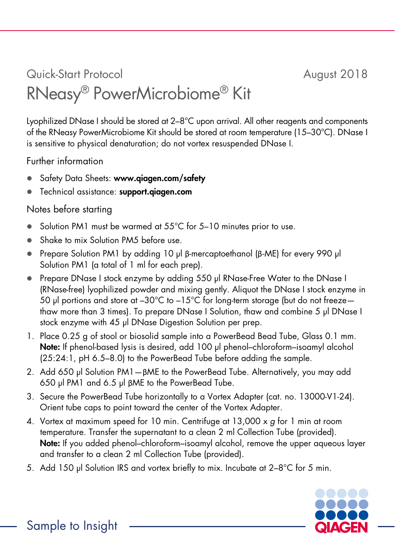## Quick-Start Protocol August 2018 RNeasy® PowerMicrobiome® Kit

Lyophilized DNase I should be stored at 2–8°C upon arrival. All other reagents and components of the RNeasy PowerMicrobiome Kit should be stored at room temperature (15–30°C). DNase I is sensitive to physical denaturation; do not vortex resuspended DNase I.

Further information

- Safety Data Sheets: www.qiagen.com/safety
- Technical assistance: support.giagen.com

## Notes before starting

- Solution PM1 must be warmed at 55°C for 5-10 minutes prior to use.
- Shake to mix Solution PM5 before use.
- Prepare Solution PM1 by adding 10 µl β-mercaptoethanol (β-ME) for every 990 µl Solution PM1 (a total of 1 ml for each prep).
- Prepare DNase I stock enzyme by adding 550 µl RNase-Free Water to the DNase I (RNase-free) lyophilized powder and mixing gently. Aliquot the DNase I stock enzyme in 50 µl portions and store at –30°C to –15°C for long-term storage (but do not freeze thaw more than 3 times). To prepare DNase I Solution, thaw and combine 5 µl DNase I stock enzyme with 45 µl DNase Digestion Solution per prep.
- 1. Place 0.25 g of stool or biosolid sample into a PowerBead Bead Tube, Glass 0.1 mm. Note: If phenol-based lysis is desired, add 100 µl phenol-chloroform-isoamyl alcohol (25:24:1, pH 6.5–8.0) to the PowerBead Tube before adding the sample.
- 2. Add 650 µl Solution PM1—βME to the PowerBead Tube. Alternatively, you may add 650 µl PM1 and 6.5 µl βME to the PowerBead Tube.
- 3. Secure the PowerBead Tube horizontally to a Vortex Adapter (cat. no. 13000-V1-24). Orient tube caps to point toward the center of the Vortex Adapter.
- 4. Vortex at maximum speed for 10 min. Centrifuge at  $13,000 \times g$  for 1 min at room temperature. Transfer the supernatant to a clean 2 ml Collection Tube (provided). Note: If you added phenol–chloroform–isoamyl alcohol, remove the upper aqueous layer and transfer to a clean 2 ml Collection Tube (provided).
- 5. Add 150 µl Solution IRS and vortex briefly to mix. Incubate at 2–8°C for 5 min.